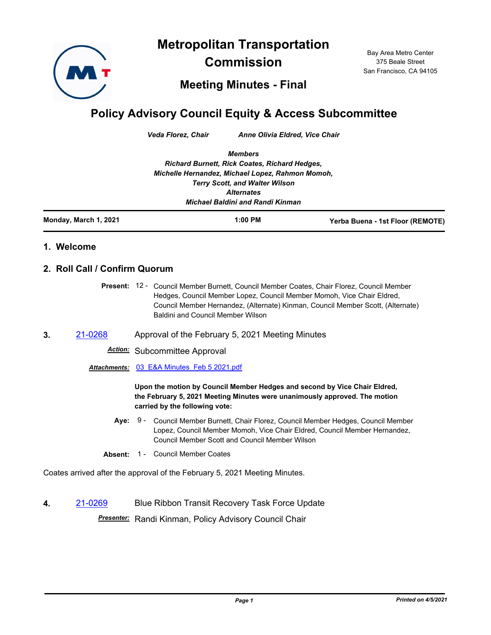**Metropolitan Transportation** 



**Commission**

Bay Area Metro Center 375 Beale Street San Francisco, CA 94105

**Meeting Minutes - Final**

## **Policy Advisory Council Equity & Access Subcommittee**

*Veda Florez, Chair Anne Olivia Eldred, Vice Chair*

*Members Richard Burnett, Rick Coates, Richard Hedges, Michelle Hernandez, Michael Lopez, Rahmon Momoh, Terry Scott, and Walter Wilson Alternates Michael Baldini and Randi Kinman*

**Monday, March 1, 2021 1:00 PM Yerba Buena - 1st Floor (REMOTE)**

## **1. Welcome**

## **2. Roll Call / Confirm Quorum**

Present: 12 - Council Member Burnett, Council Member Coates, Chair Florez, Council Member Hedges, Council Member Lopez, Council Member Momoh, Vice Chair Eldred, Council Member Hernandez, (Alternate) Kinman, Council Member Scott, (Alternate) Baldini and Council Member Wilson

**3.** [21-0268](http://mtc.legistar.com/gateway.aspx?m=l&id=/matter.aspx?key=21861) Approval of the February 5, 2021 Meeting Minutes

*Action:* Subcommittee Approval

*Attachments:* [03\\_E&A Minutes\\_Feb 5 2021.pdf](http://mtc.legistar.com/gateway.aspx?M=F&ID=9d0d2749-d303-491b-a63f-96ce9ca4a948.pdf)

**Upon the motion by Council Member Hedges and second by Vice Chair Eldred, the February 5, 2021 Meeting Minutes were unanimously approved. The motion carried by the following vote:**

- **Aye:** Council Member Burnett, Chair Florez, Council Member Hedges, Council Member Lopez, Council Member Momoh, Vice Chair Eldred, Council Member Hernandez, Council Member Scott and Council Member Wilson Aye: 9 -
- Absent: 1 Council Member Coates

Coates arrived after the approval of the February 5, 2021 Meeting Minutes.

**4.** [21-0269](http://mtc.legistar.com/gateway.aspx?m=l&id=/matter.aspx?key=21862) Blue Ribbon Transit Recovery Task Force Update

*Presenter:* Randi Kinman, Policy Advisory Council Chair